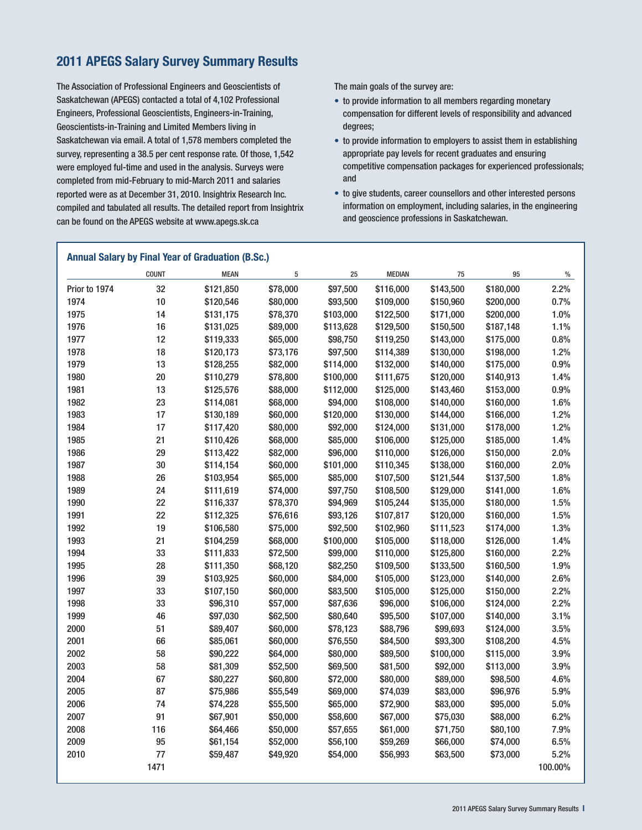# **APEGS Salary Survey Summary Results**

The Association of Professional Engineers and Geoscientists of Saskatchewan (APEGS) contacted a total of 4,102 Professional Engineers, Professional Geoscientists, Engineers-in-Training, Geoscientists-in-Training and Limited Members living in Saskatchewan via email. A total of 1,578 members completed the survey, representing a 38.5 per cent response rate. Of those, 1,542 were employed ful-time and used in the analysis. Surveys were completed from mid-February to mid-March 2011 and salaries reported were as at December 31, 2010. Insightrix Research Inc. compiled and tabulated all results. The detailed report from Insightrix can be found on the APEGS website at www.apegs.sk.ca

The main goals of the survey are:

- to provide information to all members regarding monetary compensation for different levels of responsibility and advanced degrees;
- to provide information to employers to assist them in establishing appropriate pay levels for recent graduates and ensuring competitive compensation packages for experienced professionals; and
- to give students, career counsellors and other interested persons information on employment, including salaries, in the engineering and geoscience professions in Saskatchewan.

|               | <b>COUNT</b> | <b>MEAN</b> | 5        | 25        | <b>MEDIAN</b> | 75        | 95        | $\%$    |
|---------------|--------------|-------------|----------|-----------|---------------|-----------|-----------|---------|
| Prior to 1974 | 32           | \$121,850   | \$78,000 | \$97,500  | \$116,000     | \$143,500 | \$180,000 | 2.2%    |
| 1974          | 10           | \$120,546   | \$80,000 | \$93,500  | \$109,000     | \$150,960 | \$200,000 | 0.7%    |
| 1975          | 14           | \$131,175   | \$78,370 | \$103,000 | \$122,500     | \$171,000 | \$200,000 | 1.0%    |
| 1976          | 16           | \$131,025   | \$89,000 | \$113,628 | \$129,500     | \$150,500 | \$187,148 | 1.1%    |
| 1977          | 12           | \$119,333   | \$65,000 | \$98,750  | \$119,250     | \$143,000 | \$175,000 | 0.8%    |
| 1978          | 18           | \$120,173   | \$73,176 | \$97,500  | \$114,389     | \$130,000 | \$198,000 | 1.2%    |
| 1979          | 13           | \$128,255   | \$82,000 | \$114,000 | \$132,000     | \$140,000 | \$175,000 | 0.9%    |
| 1980          | $20\,$       | \$110,279   | \$78,800 | \$100,000 | \$111,675     | \$120,000 | \$140,913 | 1.4%    |
| 1981          | 13           | \$125,576   | \$88,000 | \$112,000 | \$125,000     | \$143,460 | \$153,000 | 0.9%    |
| 1982          | 23           | \$114,081   | \$68,000 | \$94,000  | \$108,000     | \$140,000 | \$160,000 | 1.6%    |
| 1983          | 17           | \$130,189   | \$60,000 | \$120,000 | \$130,000     | \$144,000 | \$166,000 | 1.2%    |
| 1984          | 17           | \$117,420   | \$80,000 | \$92,000  | \$124,000     | \$131,000 | \$178,000 | 1.2%    |
| 1985          | 21           | \$110,426   | \$68,000 | \$85,000  | \$106,000     | \$125,000 | \$185,000 | 1.4%    |
| 1986          | 29           | \$113,422   | \$82,000 | \$96,000  | \$110,000     | \$126,000 | \$150,000 | 2.0%    |
| 1987          | 30           | \$114,154   | \$60,000 | \$101,000 | \$110,345     | \$138,000 | \$160,000 | 2.0%    |
| 1988          | 26           | \$103,954   | \$65,000 | \$85,000  | \$107,500     | \$121,544 | \$137,500 | 1.8%    |
| 1989          | 24           | \$111,619   | \$74,000 | \$97,750  | \$108,500     | \$129,000 | \$141,000 | 1.6%    |
| 1990          | 22           | \$116,337   | \$78,370 | \$94,969  | \$105,244     | \$135,000 | \$180,000 | 1.5%    |
| 1991          | 22           | \$112,325   | \$76,616 | \$93,126  | \$107,817     | \$120,000 | \$160,000 | 1.5%    |
| 1992          | 19           | \$106,580   | \$75,000 | \$92,500  | \$102,960     | \$111,523 | \$174,000 | 1.3%    |
| 1993          | 21           | \$104,259   | \$68,000 | \$100,000 | \$105,000     | \$118,000 | \$126,000 | 1.4%    |
| 1994          | 33           | \$111,833   | \$72,500 | \$99,000  | \$110,000     | \$125,800 | \$160,000 | 2.2%    |
| 1995          | 28           | \$111,350   | \$68,120 | \$82,250  | \$109,500     | \$133,500 | \$160,500 | 1.9%    |
| 1996          | 39           | \$103,925   | \$60,000 | \$84,000  | \$105,000     | \$123,000 | \$140,000 | 2.6%    |
| 1997          | 33           | \$107,150   | \$60,000 | \$83,500  | \$105,000     | \$125,000 | \$150,000 | 2.2%    |
| 1998          | 33           | \$96,310    | \$57,000 | \$87,636  | \$96,000      | \$106,000 | \$124,000 | 2.2%    |
| 1999          | 46           | \$97,030    | \$62,500 | \$80,640  | \$95,500      | \$107,000 | \$140,000 | 3.1%    |
| 2000          | 51           | \$89,407    | \$60,000 | \$78,123  | \$88,796      | \$99,693  | \$124,000 | 3.5%    |
| 2001          | 66           | \$85,061    | \$60,000 | \$76,550  | \$84,500      | \$93,300  | \$108,200 | 4.5%    |
| 2002          | 58           | \$90,222    | \$64,000 | \$80,000  | \$89,500      | \$100,000 | \$115,000 | 3.9%    |
| 2003          | 58           | \$81,309    | \$52,500 | \$69,500  | \$81,500      | \$92,000  | \$113,000 | 3.9%    |
| 2004          | 67           | \$80,227    | \$60,800 | \$72,000  | \$80,000      | \$89,000  | \$98,500  | 4.6%    |
| 2005          | 87           | \$75,986    | \$55,549 | \$69,000  | \$74,039      | \$83,000  | \$96,976  | 5.9%    |
| 2006          | 74           | \$74,228    | \$55,500 | \$65,000  | \$72,900      | \$83,000  | \$95,000  | 5.0%    |
| 2007          | 91           | \$67,901    | \$50,000 | \$58,600  | \$67,000      | \$75,030  | \$88,000  | 6.2%    |
| 2008          | 116          | \$64,466    | \$50,000 | \$57,655  | \$61,000      | \$71,750  | \$80,100  | 7.9%    |
| 2009          | 95           | \$61,154    | \$52,000 | \$56,100  | \$59,269      | \$66,000  | \$74,000  | 6.5%    |
| 2010          | 77           | \$59,487    | \$49,920 | \$54,000  | \$56,993      | \$63,500  | \$73,000  | 5.2%    |
|               | 1471         |             |          |           |               |           |           | 100.00% |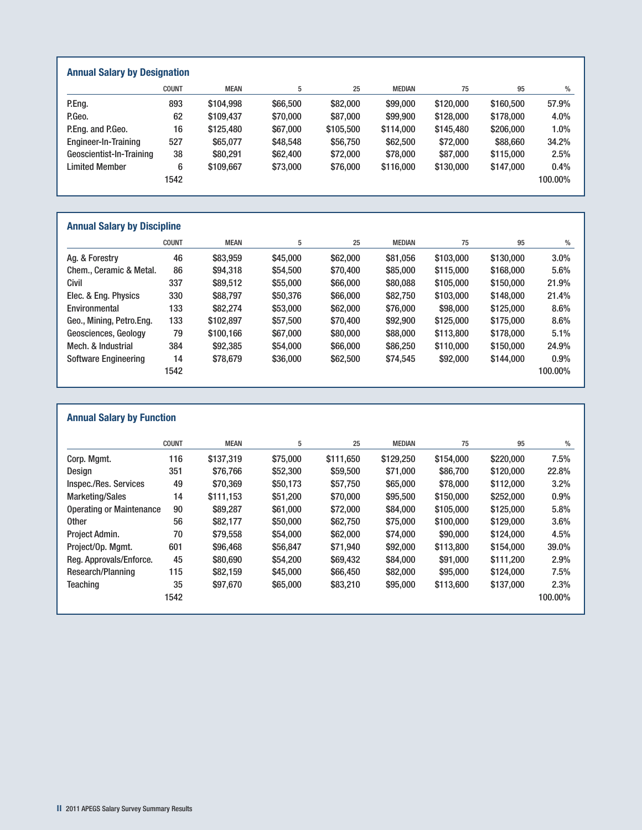| <b>Annual Salary by Designation</b> |              |             |          |           |               |           |           |         |
|-------------------------------------|--------------|-------------|----------|-----------|---------------|-----------|-----------|---------|
|                                     | <b>COUNT</b> | <b>MEAN</b> | 5        | 25        | <b>MEDIAN</b> | 75        | 95        | $\%$    |
| P.Eng.                              | 893          | \$104.998   | \$66,500 | \$82,000  | \$99,000      | \$120,000 | \$160,500 | 57.9%   |
| P.Geo.                              | 62           | \$109,437   | \$70,000 | \$87,000  | \$99,900      | \$128,000 | \$178,000 | 4.0%    |
| P.Eng. and P.Geo.                   | 16           | \$125,480   | \$67,000 | \$105,500 | \$114,000     | \$145,480 | \$206,000 | 1.0%    |
| Engineer-In-Training                | 527          | \$65,077    | \$48,548 | \$56,750  | \$62,500      | \$72,000  | \$88,660  | 34.2%   |
| Geoscientist-In-Training            | 38           | \$80,291    | \$62,400 | \$72,000  | \$78,000      | \$87,000  | \$115,000 | 2.5%    |
| <b>Limited Member</b>               | 6            | \$109,667   | \$73,000 | \$76,000  | \$116,000     | \$130,000 | \$147,000 | 0.4%    |
|                                     | 1542         |             |          |           |               |           |           | 100.00% |

## **Annual Salary by Discipline**

|                             | <b>COUNT</b> | <b>MEAN</b> | 5        | 25       | <b>MEDIAN</b> | 75        | 95        | $\%$    |
|-----------------------------|--------------|-------------|----------|----------|---------------|-----------|-----------|---------|
| Ag. & Forestry              | 46           | \$83,959    | \$45,000 | \$62,000 | \$81,056      | \$103,000 | \$130,000 | 3.0%    |
| Chem., Ceramic & Metal.     | 86           | \$94,318    | \$54,500 | \$70,400 | \$85,000      | \$115,000 | \$168,000 | 5.6%    |
| Civil                       | 337          | \$89,512    | \$55,000 | \$66,000 | \$80,088      | \$105,000 | \$150,000 | 21.9%   |
| Elec. & Eng. Physics        | 330          | \$88,797    | \$50,376 | \$66,000 | \$82,750      | \$103,000 | \$148,000 | 21.4%   |
| Environmental               | 133          | \$82,274    | \$53,000 | \$62,000 | \$76,000      | \$98,000  | \$125,000 | 8.6%    |
| Geo., Mining, Petro.Eng.    | 133          | \$102,897   | \$57,500 | \$70,400 | \$92,900      | \$125,000 | \$175,000 | 8.6%    |
| Geosciences, Geology        | 79           | \$100.166   | \$67,000 | \$80,000 | \$88,000      | \$113,800 | \$178,000 | 5.1%    |
| Mech. & Industrial          | 384          | \$92,385    | \$54,000 | \$66,000 | \$86,250      | \$110,000 | \$150,000 | 24.9%   |
| <b>Software Engineering</b> | 14           | \$78,679    | \$36,000 | \$62,500 | \$74,545      | \$92,000  | \$144,000 | 0.9%    |
|                             | 1542         |             |          |          |               |           |           | 100.00% |

|                                 | <b>COUNT</b> | <b>MEAN</b> | 5        | 25        | <b>MEDIAN</b> | 75        | 95        | $\%$    |
|---------------------------------|--------------|-------------|----------|-----------|---------------|-----------|-----------|---------|
| Corp. Mgmt.                     | 116          | \$137,319   | \$75,000 | \$111,650 | \$129,250     | \$154,000 | \$220,000 | 7.5%    |
| Design                          | 351          | \$76,766    | \$52,300 | \$59,500  | \$71,000      | \$86,700  | \$120,000 | 22.8%   |
| Inspec./Res. Services           | 49           | \$70,369    | \$50,173 | \$57,750  | \$65,000      | \$78,000  | \$112,000 | 3.2%    |
| <b>Marketing/Sales</b>          | 14           | \$111.153   | \$51.200 | \$70,000  | \$95,500      | \$150,000 | \$252,000 | 0.9%    |
| <b>Operating or Maintenance</b> | 90           | \$89,287    | \$61,000 | \$72,000  | \$84,000      | \$105,000 | \$125,000 | 5.8%    |
| <b>Other</b>                    | 56           | \$82,177    | \$50,000 | \$62,750  | \$75,000      | \$100,000 | \$129,000 | 3.6%    |
| Project Admin.                  | 70           | \$79,558    | \$54,000 | \$62,000  | \$74,000      | \$90,000  | \$124,000 | 4.5%    |
| Project/Op. Mgmt.               | 601          | \$96,468    | \$56,847 | \$71,940  | \$92,000      | \$113,800 | \$154,000 | 39.0%   |
| Reg. Approvals/Enforce.         | 45           | \$80,690    | \$54,200 | \$69,432  | \$84,000      | \$91,000  | \$111,200 | 2.9%    |
| Research/Planning               | 115          | \$82,159    | \$45,000 | \$66,450  | \$82,000      | \$95,000  | \$124,000 | 7.5%    |
| Teaching                        | 35           | \$97,670    | \$65,000 | \$83,210  | \$95,000      | \$113,600 | \$137,000 | 2.3%    |
|                                 | 1542         |             |          |           |               |           |           | 100.00% |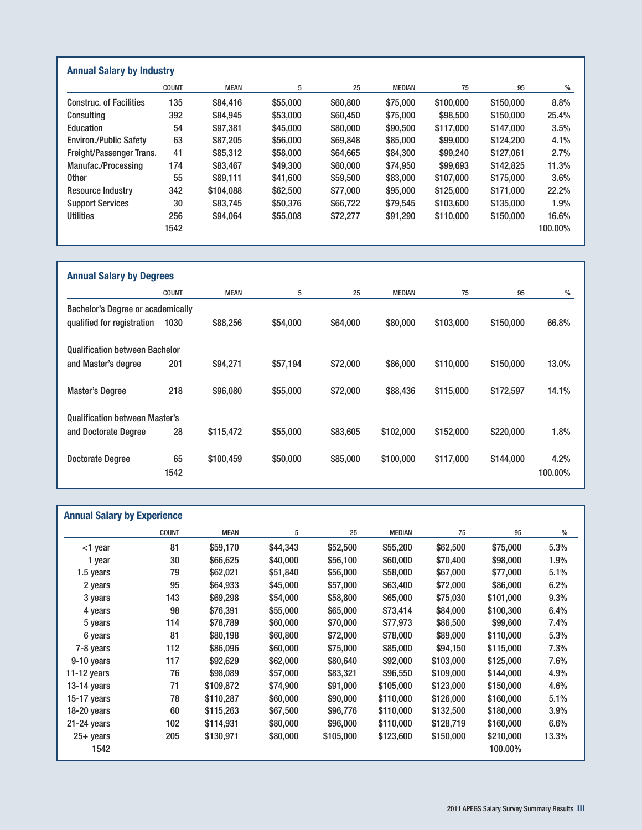|                                | <b>COUNT</b> | <b>MEAN</b> | 5        | 25       | <b>MEDIAN</b> | 75        | 95        | %       |
|--------------------------------|--------------|-------------|----------|----------|---------------|-----------|-----------|---------|
| <b>Construc. of Facilities</b> | 135          | \$84,416    | \$55,000 | \$60,800 | \$75,000      | \$100,000 | \$150,000 | 8.8%    |
| Consulting                     | 392          | \$84,945    | \$53,000 | \$60,450 | \$75,000      | \$98,500  | \$150,000 | 25.4%   |
| Education                      | 54           | \$97,381    | \$45,000 | \$80,000 | \$90,500      | \$117,000 | \$147,000 | 3.5%    |
| <b>Environ./Public Safety</b>  | 63           | \$87,205    | \$56,000 | \$69,848 | \$85,000      | \$99,000  | \$124.200 | 4.1%    |
| Freight/Passenger Trans.       | 41           | \$85,312    | \$58,000 | \$64,665 | \$84,300      | \$99,240  | \$127.061 | 2.7%    |
| Manufac./Processing            | 174          | \$83,467    | \$49,300 | \$60,000 | \$74.950      | \$99,693  | \$142,825 | 11.3%   |
| <b>Other</b>                   | 55           | \$89.111    | \$41,600 | \$59,500 | \$83,000      | \$107,000 | \$175,000 | 3.6%    |
| <b>Resource Industry</b>       | 342          | \$104,088   | \$62,500 | \$77,000 | \$95,000      | \$125,000 | \$171.000 | 22.2%   |
| <b>Support Services</b>        | 30           | \$83,745    | \$50,376 | \$66,722 | \$79,545      | \$103,600 | \$135,000 | 1.9%    |
| <b>Utilities</b>               | 256          | \$94.064    | \$55,008 | \$72,277 | \$91,290      | \$110,000 | \$150,000 | 16.6%   |
|                                | 1542         |             |          |          |               |           |           | 100.00% |

| <b>Annual Salary by Degrees</b>       |              |             |          |          |               |           |           |         |
|---------------------------------------|--------------|-------------|----------|----------|---------------|-----------|-----------|---------|
|                                       | <b>COUNT</b> | <b>MEAN</b> | 5        | 25       | <b>MEDIAN</b> | 75        | 95        | $\%$    |
| Bachelor's Degree or academically     |              |             |          |          |               |           |           |         |
| qualified for registration            | 1030         | \$88,256    | \$54,000 | \$64,000 | \$80,000      | \$103,000 | \$150,000 | 66.8%   |
| <b>Qualification between Bachelor</b> |              |             |          |          |               |           |           |         |
| and Master's degree                   | 201          | \$94,271    | \$57,194 | \$72,000 | \$86,000      | \$110,000 | \$150,000 | 13.0%   |
| <b>Master's Degree</b>                | 218          | \$96,080    | \$55,000 | \$72,000 | \$88,436      | \$115,000 | \$172.597 | 14.1%   |
| <b>Qualification between Master's</b> |              |             |          |          |               |           |           |         |
| and Doctorate Degree                  | 28           | \$115,472   | \$55,000 | \$83,605 | \$102,000     | \$152,000 | \$220,000 | 1.8%    |
| <b>Doctorate Degree</b>               | 65           | \$100,459   | \$50,000 | \$85,000 | \$100,000     | \$117,000 | \$144,000 | 4.2%    |
|                                       | 1542         |             |          |          |               |           |           | 100.00% |

| <b>Annual Salary by Experience</b> |             |          |           |               |           |           |         |  |  |  |
|------------------------------------|-------------|----------|-----------|---------------|-----------|-----------|---------|--|--|--|
| <b>COUNT</b>                       | <b>MEAN</b> | 5        | 25        | <b>MEDIAN</b> | 75        | 95        | $\%$    |  |  |  |
| 81                                 | \$59,170    | \$44,343 | \$52,500  | \$55,200      | \$62,500  | \$75,000  | 5.3%    |  |  |  |
| 30                                 | \$66,625    | \$40,000 | \$56,100  | \$60,000      | \$70,400  | \$98,000  | 1.9%    |  |  |  |
| 79                                 | \$62,021    | \$51,840 | \$56,000  | \$58,000      | \$67,000  | \$77,000  | 5.1%    |  |  |  |
| 95                                 | \$64,933    | \$45,000 | \$57,000  | \$63,400      | \$72,000  | \$86,000  | 6.2%    |  |  |  |
| 143                                | \$69,298    | \$54,000 | \$58,800  | \$65,000      | \$75,030  | \$101,000 | 9.3%    |  |  |  |
| 98                                 | \$76,391    | \$55,000 | \$65,000  | \$73,414      | \$84,000  | \$100,300 | 6.4%    |  |  |  |
| 114                                | \$78,789    | \$60,000 | \$70,000  | \$77,973      | \$86,500  | \$99,600  | 7.4%    |  |  |  |
| 81                                 | \$80,198    | \$60,800 | \$72,000  | \$78,000      | \$89,000  | \$110,000 | 5.3%    |  |  |  |
| 112                                | \$86,096    | \$60,000 | \$75,000  | \$85,000      | \$94,150  | \$115,000 | 7.3%    |  |  |  |
| 117                                | \$92,629    | \$62,000 | \$80,640  | \$92,000      | \$103,000 | \$125,000 | 7.6%    |  |  |  |
| 76                                 | \$98,089    | \$57,000 | \$83,321  | \$96,550      | \$109,000 | \$144,000 | 4.9%    |  |  |  |
| 71                                 | \$109,872   | \$74,900 | \$91,000  | \$105,000     | \$123,000 | \$150,000 | 4.6%    |  |  |  |
| 78                                 | \$110,287   | \$60,000 | \$90,000  | \$110,000     | \$126,000 | \$160,000 | 5.1%    |  |  |  |
| 60                                 | \$115,263   | \$67,500 | \$96,776  | \$110,000     | \$132,500 | \$180,000 | 3.9%    |  |  |  |
| 102                                | \$114,931   | \$80,000 | \$96,000  | \$110,000     | \$128,719 | \$160,000 | 6.6%    |  |  |  |
| 205                                | \$130,971   | \$80,000 | \$105,000 | \$123,600     | \$150,000 | \$210,000 | 13.3%   |  |  |  |
|                                    |             |          |           |               |           |           | 100.00% |  |  |  |